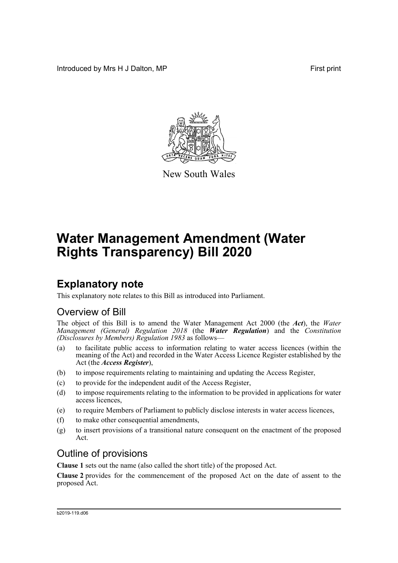Introduced by Mrs H J Dalton, MP **First** print



New South Wales

# **Water Management Amendment (Water Rights Transparency) Bill 2020**

## **Explanatory note**

This explanatory note relates to this Bill as introduced into Parliament.

## Overview of Bill

The object of this Bill is to amend the Water Management Act 2000 (the *Act*), the *Water Management (General) Regulation 2018* (the *Water Regulation*) and the *Constitution (Disclosures by Members) Regulation 1983* as follows—

- (a) to facilitate public access to information relating to water access licences (within the meaning of the Act) and recorded in the Water Access Licence Register established by the Act (the *Access Register*),
- (b) to impose requirements relating to maintaining and updating the Access Register,
- (c) to provide for the independent audit of the Access Register,
- (d) to impose requirements relating to the information to be provided in applications for water access licences,
- (e) to require Members of Parliament to publicly disclose interests in water access licences,
- (f) to make other consequential amendments,
- (g) to insert provisions of a transitional nature consequent on the enactment of the proposed Act.

## Outline of provisions

**Clause 1** sets out the name (also called the short title) of the proposed Act.

**Clause 2** provides for the commencement of the proposed Act on the date of assent to the proposed Act.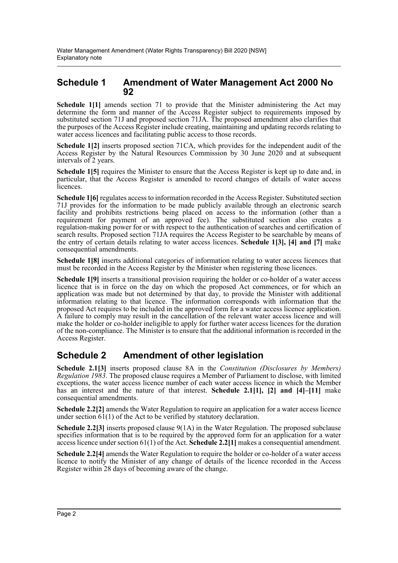### **Schedule 1 Amendment of Water Management Act 2000 No 92**

**Schedule 1[1]** amends section 71 to provide that the Minister administering the Act may determine the form and manner of the Access Register subject to requirements imposed by substituted section 71J and proposed section 71JA. The proposed amendment also clarifies that the purposes of the Access Register include creating, maintaining and updating records relating to water access licences and facilitating public access to those records.

**Schedule 1[2]** inserts proposed section 71CA, which provides for the independent audit of the Access Register by the Natural Resources Commission by 30 June 2020 and at subsequent intervals of 2 years.

**Schedule 1[5]** requires the Minister to ensure that the Access Register is kept up to date and, in particular, that the Access Register is amended to record changes of details of water access licences.

**Schedule 1[6]** regulates access to information recorded in the Access Register. Substituted section 71J provides for the information to be made publicly available through an electronic search facility and prohibits restrictions being placed on access to the information (other than a requirement for payment of an approved fee). The substituted section also creates a regulation-making power for or with respect to the authentication of searches and certification of search results. Proposed section 71JA requires the Access Register to be searchable by means of the entry of certain details relating to water access licences. **Schedule 1[3], [4] and [7]** make consequential amendments.

**Schedule 1[8]** inserts additional categories of information relating to water access licences that must be recorded in the Access Register by the Minister when registering those licences.

**Schedule 1[9]** inserts a transitional provision requiring the holder or co-holder of a water access licence that is in force on the day on which the proposed Act commences, or for which an application was made but not determined by that day, to provide the Minister with additional information relating to that licence. The information corresponds with information that the proposed Act requires to be included in the approved form for a water access licence application. A failure to comply may result in the cancellation of the relevant water access licence and will make the holder or co-holder ineligible to apply for further water access licences for the duration of the non-compliance. The Minister is to ensure that the additional information is recorded in the Access Register.

### **Schedule 2 Amendment of other legislation**

**Schedule 2.1[3]** inserts proposed clause 8A in the *Constitution (Disclosures by Members) Regulation 1983*. The proposed clause requires a Member of Parliament to disclose, with limited exceptions, the water access licence number of each water access licence in which the Member has an interest and the nature of that interest. **Schedule 2.1[1], [2] and [4]–[11]** make consequential amendments.

**Schedule 2.2[2]** amends the Water Regulation to require an application for a water access licence under section  $61(1)$  of the Act to be verified by statutory declaration.

**Schedule 2.2[3]** inserts proposed clause 9(1A) in the Water Regulation. The proposed subclause specifies information that is to be required by the approved form for an application for a water access licence under section 61(1) of the Act. **Schedule 2.2[1]** makes a consequential amendment.

**Schedule 2.2[4]** amends the Water Regulation to require the holder or co-holder of a water access licence to notify the Minister of any change of details of the licence recorded in the Access Register within 28 days of becoming aware of the change.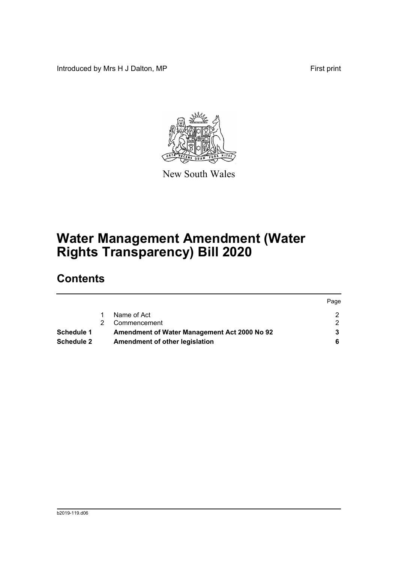Introduced by Mrs H J Dalton, MP **First** print



New South Wales

# **Water Management Amendment (Water Rights Transparency) Bill 2020**

## **Contents**

|                   |                                              | Page |
|-------------------|----------------------------------------------|------|
|                   | Name of Act                                  |      |
|                   | Commencement                                 |      |
| <b>Schedule 1</b> | Amendment of Water Management Act 2000 No 92 |      |
| <b>Schedule 2</b> | Amendment of other legislation               |      |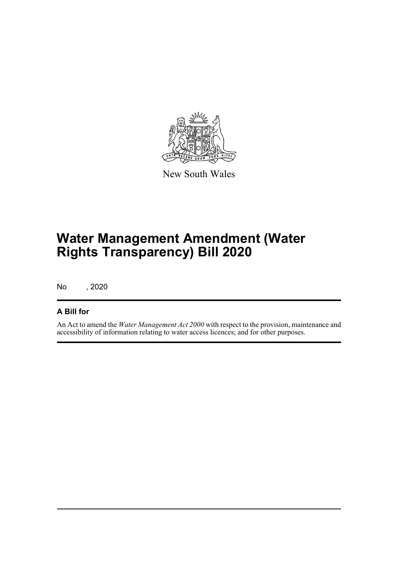

New South Wales

# **Water Management Amendment (Water Rights Transparency) Bill 2020**

No , 2020

### **A Bill for**

An Act to amend the *Water Management Act 2000* with respect to the provision, maintenance and accessibility of information relating to water access licences; and for other purposes.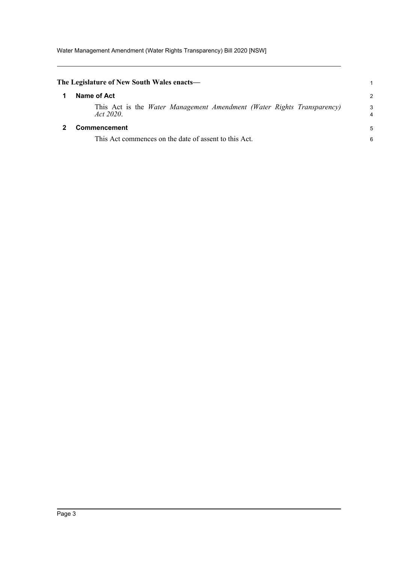<span id="page-4-1"></span><span id="page-4-0"></span>

| The Legislature of New South Wales enacts—                                                 |               |
|--------------------------------------------------------------------------------------------|---------------|
| Name of Act                                                                                | $\mathcal{P}$ |
| This Act is the <i>Water Management Amendment (Water Rights Transparency)</i><br>Act 2020. | 3<br>4        |
| <b>Commencement</b>                                                                        | 5             |
| This Act commences on the date of assent to this Act.                                      | 6             |
|                                                                                            |               |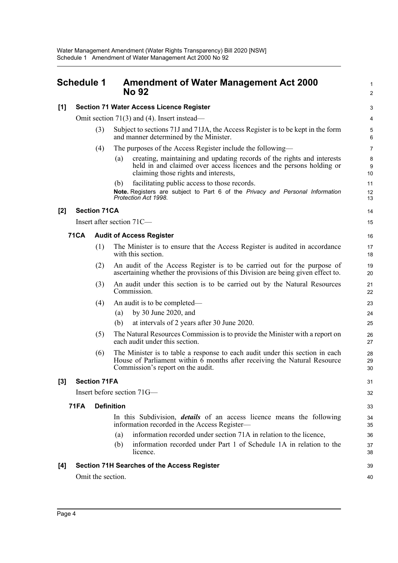## <span id="page-5-0"></span>**Schedule 1 Amendment of Water Management Act 2000 No 92**

1 2

| [1]              |             |                     | <b>Section 71 Water Access Licence Register</b>                                                                                                                                                       | 3              |
|------------------|-------------|---------------------|-------------------------------------------------------------------------------------------------------------------------------------------------------------------------------------------------------|----------------|
|                  |             |                     | Omit section $71(3)$ and (4). Insert instead—                                                                                                                                                         | 4              |
|                  |             | (3)                 | Subject to sections 71J and 71JA, the Access Register is to be kept in the form<br>and manner determined by the Minister.                                                                             | 5<br>6         |
|                  |             | (4)                 | The purposes of the Access Register include the following—                                                                                                                                            | 7              |
|                  |             |                     | creating, maintaining and updating records of the rights and interests<br>(a)<br>held in and claimed over access licences and the persons holding or<br>claiming those rights and interests,          | 8<br>9<br>10   |
|                  |             |                     | facilitating public access to those records.<br>(b)                                                                                                                                                   | 11             |
|                  |             |                     | Note. Registers are subject to Part 6 of the Privacy and Personal Information<br>Protection Act 1998.                                                                                                 | 12<br>13       |
| [2]              |             | <b>Section 71CA</b> |                                                                                                                                                                                                       | 14             |
|                  |             |                     | Insert after section 71C-                                                                                                                                                                             | 15             |
|                  | <b>71CA</b> |                     | <b>Audit of Access Register</b>                                                                                                                                                                       | 16             |
|                  |             | (1)                 | The Minister is to ensure that the Access Register is audited in accordance<br>with this section.                                                                                                     | 17<br>18       |
|                  |             | (2)                 | An audit of the Access Register is to be carried out for the purpose of<br>ascertaining whether the provisions of this Division are being given effect to.                                            | 19<br>20       |
|                  |             | (3)                 | An audit under this section is to be carried out by the Natural Resources<br>Commission.                                                                                                              | 21<br>22       |
|                  |             | (4)                 | An audit is to be completed—                                                                                                                                                                          | 23             |
|                  |             |                     | by 30 June 2020, and<br>(a)                                                                                                                                                                           | 24             |
|                  |             |                     | (b)<br>at intervals of 2 years after 30 June 2020.                                                                                                                                                    | 25             |
|                  |             | (5)                 | The Natural Resources Commission is to provide the Minister with a report on<br>each audit under this section.                                                                                        | 26<br>27       |
|                  |             | (6)                 | The Minister is to table a response to each audit under this section in each<br>House of Parliament within $\vec{6}$ months after receiving the Natural Resource<br>Commission's report on the audit. | 28<br>29<br>30 |
| $\left[3\right]$ |             | <b>Section 71FA</b> |                                                                                                                                                                                                       | 31             |
|                  |             |                     | Insert before section 71G—                                                                                                                                                                            | 32             |
|                  | <b>71FA</b> |                     | <b>Definition</b>                                                                                                                                                                                     | 33             |
|                  |             |                     | In this Subdivision, <i>details</i> of an access licence means the following<br>information recorded in the Access Register-                                                                          | 34<br>35       |
|                  |             |                     | information recorded under section 71A in relation to the licence,<br>(a)                                                                                                                             | 36             |
|                  |             |                     | information recorded under Part 1 of Schedule 1A in relation to the<br>(b)<br>licence.                                                                                                                | 37<br>38       |
| [4]              |             |                     | <b>Section 71H Searches of the Access Register</b>                                                                                                                                                    | 39             |
|                  |             | Omit the section.   |                                                                                                                                                                                                       | 40             |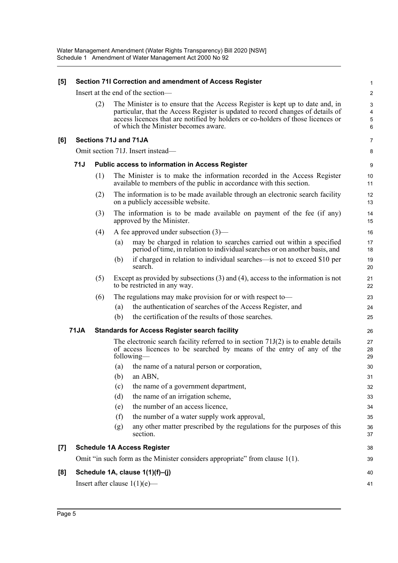| [5]   |             |     |     | Section 71I Correction and amendment of Access Register                                                                                                                                                                                                                                     | $\mathbf 1$                                       |
|-------|-------------|-----|-----|---------------------------------------------------------------------------------------------------------------------------------------------------------------------------------------------------------------------------------------------------------------------------------------------|---------------------------------------------------|
|       |             |     |     | Insert at the end of the section-                                                                                                                                                                                                                                                           | $\mathbf 2$                                       |
|       |             | (2) |     | The Minister is to ensure that the Access Register is kept up to date and, in<br>particular, that the Access Register is updated to record changes of details of<br>access licences that are notified by holders or co-holders of those licences or<br>of which the Minister becomes aware. | $\mathbf{3}$<br>$\overline{\mathbf{4}}$<br>5<br>6 |
| [6]   |             |     |     | Sections 71J and 71JA                                                                                                                                                                                                                                                                       | $\overline{7}$                                    |
|       |             |     |     | Omit section 71J. Insert instead—                                                                                                                                                                                                                                                           | 8                                                 |
|       | 71J         |     |     | <b>Public access to information in Access Register</b>                                                                                                                                                                                                                                      | 9                                                 |
|       |             | (1) |     | The Minister is to make the information recorded in the Access Register<br>available to members of the public in accordance with this section.                                                                                                                                              | 10<br>11                                          |
|       |             | (2) |     | The information is to be made available through an electronic search facility<br>on a publicly accessible website.                                                                                                                                                                          | 12<br>13                                          |
|       |             | (3) |     | The information is to be made available on payment of the fee (if any)<br>approved by the Minister.                                                                                                                                                                                         | 14<br>15                                          |
|       |             | (4) |     | A fee approved under subsection $(3)$ —                                                                                                                                                                                                                                                     | 16                                                |
|       |             |     | (a) | may be charged in relation to searches carried out within a specified<br>period of time, in relation to individual searches or on another basis, and                                                                                                                                        | 17<br>18                                          |
|       |             |     | (b) | if charged in relation to individual searches—is not to exceed \$10 per<br>search.                                                                                                                                                                                                          | 19<br>20                                          |
|       |             | (5) |     | Except as provided by subsections $(3)$ and $(4)$ , access to the information is not<br>to be restricted in any way.                                                                                                                                                                        | 21<br>22                                          |
|       |             | (6) |     | The regulations may make provision for or with respect to-                                                                                                                                                                                                                                  | 23                                                |
|       |             |     | (a) | the authentication of searches of the Access Register, and                                                                                                                                                                                                                                  | 24                                                |
|       |             |     | (b) | the certification of the results of those searches.                                                                                                                                                                                                                                         | 25                                                |
|       | <b>71JA</b> |     |     | <b>Standards for Access Register search facility</b>                                                                                                                                                                                                                                        | 26                                                |
|       |             |     |     | The electronic search facility referred to in section $71J(2)$ is to enable details<br>of access licences to be searched by means of the entry of any of the<br>following—                                                                                                                  | 27<br>28<br>29                                    |
|       |             |     | (a) | the name of a natural person or corporation,                                                                                                                                                                                                                                                | 30                                                |
|       |             |     |     | $(b)$ an ABN,                                                                                                                                                                                                                                                                               | 31                                                |
|       |             |     | (c) | the name of a government department,                                                                                                                                                                                                                                                        | 32                                                |
|       |             |     | (d) | the name of an irrigation scheme,                                                                                                                                                                                                                                                           | 33                                                |
|       |             |     | (e) | the number of an access licence,                                                                                                                                                                                                                                                            | 34                                                |
|       |             |     | (f) | the number of a water supply work approval,                                                                                                                                                                                                                                                 | 35                                                |
|       |             |     | (g) | any other matter prescribed by the regulations for the purposes of this<br>section.                                                                                                                                                                                                         | 36<br>37                                          |
| $[7]$ |             |     |     | <b>Schedule 1A Access Register</b>                                                                                                                                                                                                                                                          | 38                                                |
|       |             |     |     | Omit "in such form as the Minister considers appropriate" from clause 1(1).                                                                                                                                                                                                                 | 39                                                |
| [8]   |             |     |     | Schedule 1A, clause 1(1)(f)-(j)                                                                                                                                                                                                                                                             | 40                                                |
|       |             |     |     | Insert after clause $1(1)(e)$ —                                                                                                                                                                                                                                                             | 41                                                |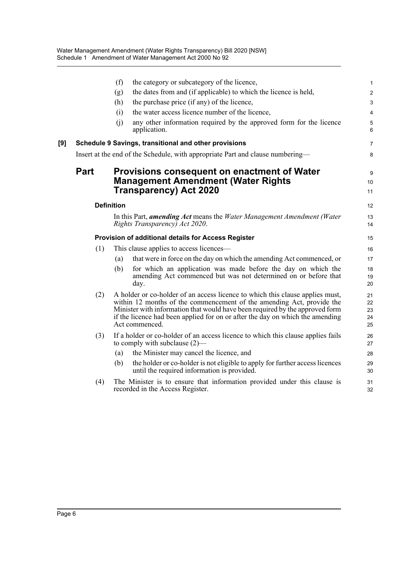|     |      | (f)               | the category or subcategory of the licence,                                                                                                                                                                                                                                                                                               | 1                          |
|-----|------|-------------------|-------------------------------------------------------------------------------------------------------------------------------------------------------------------------------------------------------------------------------------------------------------------------------------------------------------------------------------------|----------------------------|
|     |      | (g)               | the dates from and (if applicable) to which the licence is held,                                                                                                                                                                                                                                                                          | $\overline{\mathbf{c}}$    |
|     |      | (h)               | the purchase price (if any) of the licence,                                                                                                                                                                                                                                                                                               | 3                          |
|     |      | (i)               | the water access licence number of the licence,                                                                                                                                                                                                                                                                                           | 4                          |
|     |      | (j)               | any other information required by the approved form for the licence<br>application.                                                                                                                                                                                                                                                       | 5<br>6                     |
| [9] |      |                   | Schedule 9 Savings, transitional and other provisions                                                                                                                                                                                                                                                                                     | 7                          |
|     |      |                   | Insert at the end of the Schedule, with appropriate Part and clause numbering—                                                                                                                                                                                                                                                            | 8                          |
|     | Part |                   | <b>Provisions consequent on enactment of Water</b><br><b>Management Amendment (Water Rights</b><br><b>Transparency) Act 2020</b>                                                                                                                                                                                                          | 9<br>10<br>11              |
|     |      | <b>Definition</b> |                                                                                                                                                                                                                                                                                                                                           | 12                         |
|     |      |                   | In this Part, <i>amending Act</i> means the <i>Water Management Amendment (Water</i><br>Rights Transparency) Act 2020.                                                                                                                                                                                                                    | 13<br>14                   |
|     |      |                   | Provision of additional details for Access Register                                                                                                                                                                                                                                                                                       | 15                         |
|     | (1)  |                   | This clause applies to access licences—                                                                                                                                                                                                                                                                                                   | 16                         |
|     |      | (a)               | that were in force on the day on which the amending Act commenced, or                                                                                                                                                                                                                                                                     | 17                         |
|     |      | (b)               | for which an application was made before the day on which the<br>amending Act commenced but was not determined on or before that<br>day.                                                                                                                                                                                                  | 18<br>19<br>20             |
|     | (2)  |                   | A holder or co-holder of an access licence to which this clause applies must,<br>within 12 months of the commencement of the amending Act, provide the<br>Minister with information that would have been required by the approved form<br>if the licence had been applied for on or after the day on which the amending<br>Act commenced. | 21<br>22<br>23<br>24<br>25 |
|     | (3)  |                   | If a holder or co-holder of an access licence to which this clause applies fails<br>to comply with subclause $(2)$ —                                                                                                                                                                                                                      | 26<br>27                   |
|     |      | (a)               | the Minister may cancel the licence, and                                                                                                                                                                                                                                                                                                  | 28                         |
|     |      | (b)               | the holder or co-holder is not eligible to apply for further access licences<br>until the required information is provided.                                                                                                                                                                                                               | 29<br>30                   |
|     | (4)  |                   | The Minister is to ensure that information provided under this clause is<br>recorded in the Access Register.                                                                                                                                                                                                                              | 31<br>32                   |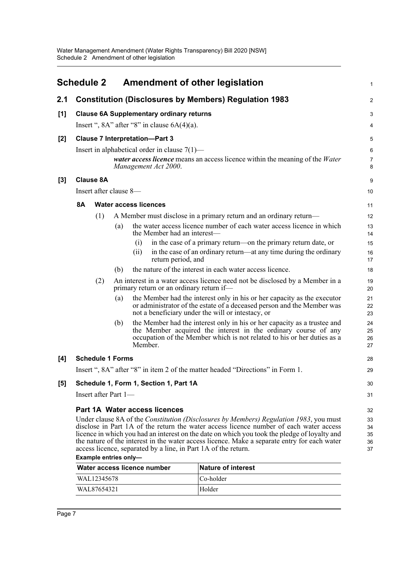<span id="page-8-0"></span>

|       |           | <b>Schedule 2</b>       |     |                                                                | <b>Amendment of other legislation</b>                                                                                                                                                                                                                                                                                                                                                    | 1                          |
|-------|-----------|-------------------------|-----|----------------------------------------------------------------|------------------------------------------------------------------------------------------------------------------------------------------------------------------------------------------------------------------------------------------------------------------------------------------------------------------------------------------------------------------------------------------|----------------------------|
| 2.1   |           |                         |     |                                                                | <b>Constitution (Disclosures by Members) Regulation 1983</b>                                                                                                                                                                                                                                                                                                                             | $\overline{c}$             |
| [1]   |           |                         |     | <b>Clause 6A Supplementary ordinary returns</b>                |                                                                                                                                                                                                                                                                                                                                                                                          | 3                          |
|       |           |                         |     | Insert ", $8A$ " after " $8$ " in clause $6A(4)(a)$ .          |                                                                                                                                                                                                                                                                                                                                                                                          | 4                          |
| [2]   |           |                         |     | <b>Clause 7 Interpretation-Part 3</b>                          |                                                                                                                                                                                                                                                                                                                                                                                          | 5                          |
|       |           |                         |     | Insert in alphabetical order in clause $7(1)$ —                |                                                                                                                                                                                                                                                                                                                                                                                          | 6                          |
|       |           |                         |     | Management Act 2000.                                           | <i>water access licence</i> means an access licence within the meaning of the <i>Water</i>                                                                                                                                                                                                                                                                                               | 7<br>8                     |
| $[3]$ |           | <b>Clause 8A</b>        |     |                                                                |                                                                                                                                                                                                                                                                                                                                                                                          | 9                          |
|       |           | Insert after clause 8-  |     |                                                                |                                                                                                                                                                                                                                                                                                                                                                                          | 10                         |
|       | <b>8A</b> |                         |     | <b>Water access licences</b>                                   |                                                                                                                                                                                                                                                                                                                                                                                          | 11                         |
|       |           | (1)                     |     |                                                                | A Member must disclose in a primary return and an ordinary return—                                                                                                                                                                                                                                                                                                                       | 12                         |
|       |           |                         | (a) | the Member had an interest—                                    | the water access licence number of each water access licence in which                                                                                                                                                                                                                                                                                                                    | 13<br>14                   |
|       |           |                         |     | (i)                                                            | in the case of a primary return—on the primary return date, or                                                                                                                                                                                                                                                                                                                           | 15                         |
|       |           |                         |     | (i)<br>return period, and                                      | in the case of an ordinary return—at any time during the ordinary                                                                                                                                                                                                                                                                                                                        | 16<br>17                   |
|       |           |                         | (b) |                                                                | the nature of the interest in each water access licence.                                                                                                                                                                                                                                                                                                                                 | 18                         |
|       |           | (2)                     |     | primary return or an ordinary return if-                       | An interest in a water access licence need not be disclosed by a Member in a                                                                                                                                                                                                                                                                                                             | 19<br>20                   |
|       |           |                         | (a) |                                                                | the Member had the interest only in his or her capacity as the executor<br>or administrator of the estate of a deceased person and the Member was<br>not a beneficiary under the will or intestacy, or                                                                                                                                                                                   | 21<br>22<br>23             |
|       |           |                         | (b) | Member.                                                        | the Member had the interest only in his or her capacity as a trustee and<br>the Member acquired the interest in the ordinary course of any<br>occupation of the Member which is not related to his or her duties as a                                                                                                                                                                    | 24<br>25<br>26<br>27       |
| [4]   |           | <b>Schedule 1 Forms</b> |     |                                                                |                                                                                                                                                                                                                                                                                                                                                                                          | 28                         |
|       |           |                         |     |                                                                | Insert ", 8A" after "8" in item 2 of the matter headed "Directions" in Form 1.                                                                                                                                                                                                                                                                                                           | 29                         |
| [5]   |           |                         |     | Schedule 1, Form 1, Section 1, Part 1A                         |                                                                                                                                                                                                                                                                                                                                                                                          | 30                         |
|       |           | Insert after Part 1—    |     |                                                                |                                                                                                                                                                                                                                                                                                                                                                                          | 31                         |
|       |           |                         |     | Part 1A Water access licences                                  |                                                                                                                                                                                                                                                                                                                                                                                          | 32                         |
|       |           |                         |     | access licence, separated by a line, in Part 1A of the return. | Under clause 8A of the <i>Constitution (Disclosures by Members) Regulation 1983</i> , you must<br>disclose in Part 1A of the return the water access licence number of each water access<br>licence in which you had an interest on the date on which you took the pledge of loyalty and<br>the nature of the interest in the water access licence. Make a separate entry for each water | 33<br>34<br>35<br>36<br>37 |
|       |           | Example entries only-   |     | Water access licence number                                    | <b>Nature of interest</b>                                                                                                                                                                                                                                                                                                                                                                |                            |
|       |           | WAL12345678             |     |                                                                | Co-holder                                                                                                                                                                                                                                                                                                                                                                                |                            |

WAL87654321 Holder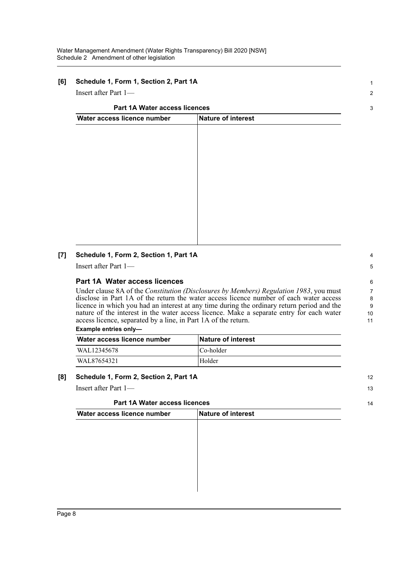#### **[6] Schedule 1, Form 1, Section 2, Part 1A**

Insert after Part 1—

#### **Part 1A Water access licences**

| Water access licence number | Nature of interest |  |  |
|-----------------------------|--------------------|--|--|
|                             |                    |  |  |
|                             |                    |  |  |
|                             |                    |  |  |
|                             |                    |  |  |
|                             |                    |  |  |
|                             |                    |  |  |
|                             |                    |  |  |
|                             |                    |  |  |
|                             |                    |  |  |
|                             |                    |  |  |
|                             |                    |  |  |

#### **[7] Schedule 1, Form 2, Section 1, Part 1A**

Insert after Part 1—

#### **Part 1A Water access licences**

Under clause 8A of the *Constitution (Disclosures by Members) Regulation 1983*, you must disclose in Part 1A of the return the water access licence number of each water access licence in which you had an interest at any time during the ordinary return period and the nature of the interest in the water access licence. Make a separate entry for each water access licence, separated by a line, in Part 1A of the return.

#### **Example entries only—**

| Water access licence number | <b>Nature of interest</b> |
|-----------------------------|---------------------------|
| WAL12345678                 | Co-holder                 |
| WAL87654321                 | Holder                    |

#### **[8] Schedule 1, Form 2, Section 2, Part 1A**

Insert after Part 1—

#### **Part 1A Water access licences**

| Part 1A Water access licences |                    | 14 |
|-------------------------------|--------------------|----|
| Water access licence number   | Nature of interest |    |
|                               |                    |    |
|                               |                    |    |
|                               |                    |    |
|                               |                    |    |
|                               |                    |    |
|                               |                    |    |
|                               |                    |    |

3

1  $\overline{2}$ 

8

4

9 10 11

12 13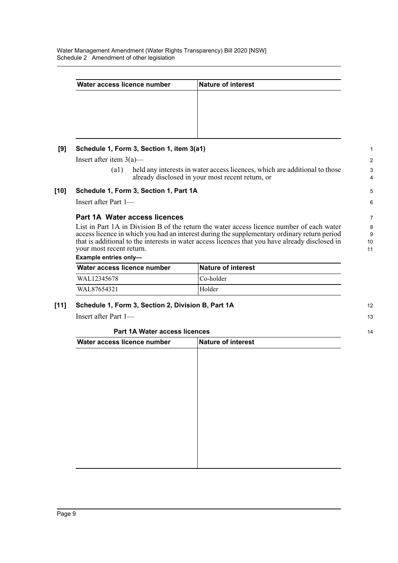Water Management Amendment (Water Rights Transparency) Bill 2020 [NSW] Schedule 2 Amendment of other legislation

| Water access licence number | Nature of interest |  |
|-----------------------------|--------------------|--|
|                             |                    |  |
|                             |                    |  |
|                             |                    |  |
|                             |                    |  |
|                             |                    |  |
|                             |                    |  |

Insert after item 3(a)—

(a1) held any interests in water access licences, which are additional to those already disclosed in your most recent return, or

5 6

12 13

14

#### **[10] Schedule 1, Form 3, Section 1, Part 1A**

Insert after Part 1—

#### **Part 1A Water access licences**

List in Part 1A in Division B of the return the water access licence number of each water access licence in which you had an interest during the supplementary ordinary return period that is additional to the interests in water access licences that you have already disclosed in your most recent return.

**Example entries only—** 

| Water access licence number | <b>Nature of interest</b> |
|-----------------------------|---------------------------|
| WAL12345678                 | Co-holder                 |
| WAL87654321                 | Holder                    |

#### **[11] Schedule 1, Form 3, Section 2, Division B, Part 1A**

Insert after Part 1—

#### **Part 1A Water access licences**

| Nature of interest |  |  |
|--------------------|--|--|
|                    |  |  |
|                    |  |  |
|                    |  |  |
|                    |  |  |
|                    |  |  |
|                    |  |  |
|                    |  |  |
|                    |  |  |
|                    |  |  |
|                    |  |  |
|                    |  |  |
|                    |  |  |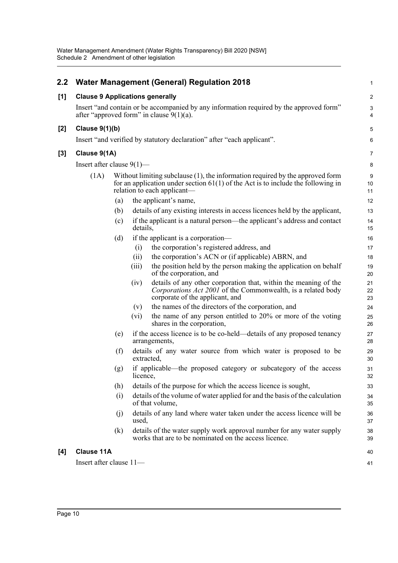| 2.2   |                                                                                                                                                                                                               |                   | <b>Water Management (General) Regulation 2018</b>                                                                                                                           | $\mathbf 1$                    |
|-------|---------------------------------------------------------------------------------------------------------------------------------------------------------------------------------------------------------------|-------------------|-----------------------------------------------------------------------------------------------------------------------------------------------------------------------------|--------------------------------|
| [1]   | <b>Clause 9 Applications generally</b>                                                                                                                                                                        |                   |                                                                                                                                                                             | $\overline{c}$                 |
|       | Insert "and contain or be accompanied by any information required by the approved form"<br>after "approved form" in clause $9(1)(a)$ .                                                                        |                   |                                                                                                                                                                             | $\mathbf{3}$<br>$\overline{4}$ |
| $[2]$ | <b>Clause 9(1)(b)</b>                                                                                                                                                                                         |                   |                                                                                                                                                                             | $\mathbf 5$                    |
|       | Insert "and verified by statutory declaration" after "each applicant".                                                                                                                                        |                   |                                                                                                                                                                             | 6                              |
| [3]   | Clause 9(1A)                                                                                                                                                                                                  |                   |                                                                                                                                                                             | $\overline{7}$                 |
|       | Insert after clause $9(1)$ —                                                                                                                                                                                  |                   |                                                                                                                                                                             | 8                              |
|       | Without limiting subclause $(1)$ , the information required by the approved form<br>(1A)<br>for an application under section $61(1)$ of the Act is to include the following in<br>relation to each applicant— |                   |                                                                                                                                                                             | 9<br>10<br>11                  |
|       |                                                                                                                                                                                                               | (a)               | the applicant's name,                                                                                                                                                       | 12                             |
|       |                                                                                                                                                                                                               | (b)               | details of any existing interests in access licences held by the applicant,                                                                                                 | 13                             |
|       |                                                                                                                                                                                                               | (c)               | if the applicant is a natural person—the applicant's address and contact<br>details,                                                                                        | 14<br>15                       |
|       |                                                                                                                                                                                                               | (d)               | if the applicant is a corporation—                                                                                                                                          | 16                             |
|       |                                                                                                                                                                                                               |                   | the corporation's registered address, and<br>(i)                                                                                                                            | 17                             |
|       |                                                                                                                                                                                                               |                   | the corporation's ACN or (if applicable) ABRN, and<br>(ii)                                                                                                                  | 18                             |
|       |                                                                                                                                                                                                               |                   | the position held by the person making the application on behalf<br>(iii)<br>of the corporation, and                                                                        | 19<br>20                       |
|       |                                                                                                                                                                                                               |                   | details of any other corporation that, within the meaning of the<br>(iv)<br>Corporations Act 2001 of the Commonwealth, is a related body<br>corporate of the applicant, and | 21<br>22<br>23                 |
|       |                                                                                                                                                                                                               |                   | the names of the directors of the corporation, and<br>(v)                                                                                                                   | 24                             |
|       |                                                                                                                                                                                                               |                   | the name of any person entitled to 20% or more of the voting<br>$(v_i)$<br>shares in the corporation,                                                                       | 25<br>26                       |
|       |                                                                                                                                                                                                               | (e)               | if the access licence is to be co-held—details of any proposed tenancy<br>arrangements,                                                                                     | 27<br>28                       |
|       |                                                                                                                                                                                                               | (f)               | details of any water source from which water is proposed to be<br>extracted,                                                                                                | 29<br>30                       |
|       |                                                                                                                                                                                                               | (g)               | if applicable—the proposed category or subcategory of the access<br>licence,                                                                                                | 31<br>32                       |
|       |                                                                                                                                                                                                               | (h)               | details of the purpose for which the access licence is sought,                                                                                                              | 33                             |
|       |                                                                                                                                                                                                               | (i)               | details of the volume of water applied for and the basis of the calculation<br>of that volume,                                                                              | 34<br>35                       |
|       |                                                                                                                                                                                                               | (j)               | details of any land where water taken under the access licence will be<br>used,                                                                                             | 36<br>37                       |
|       |                                                                                                                                                                                                               | $\left( k\right)$ | details of the water supply work approval number for any water supply<br>works that are to be nominated on the access licence.                                              | 38<br>39                       |
| [4]   | <b>Clause 11A</b>                                                                                                                                                                                             |                   |                                                                                                                                                                             | 40                             |
|       | Insert after clause 11-                                                                                                                                                                                       |                   |                                                                                                                                                                             | 41                             |
|       |                                                                                                                                                                                                               |                   |                                                                                                                                                                             |                                |